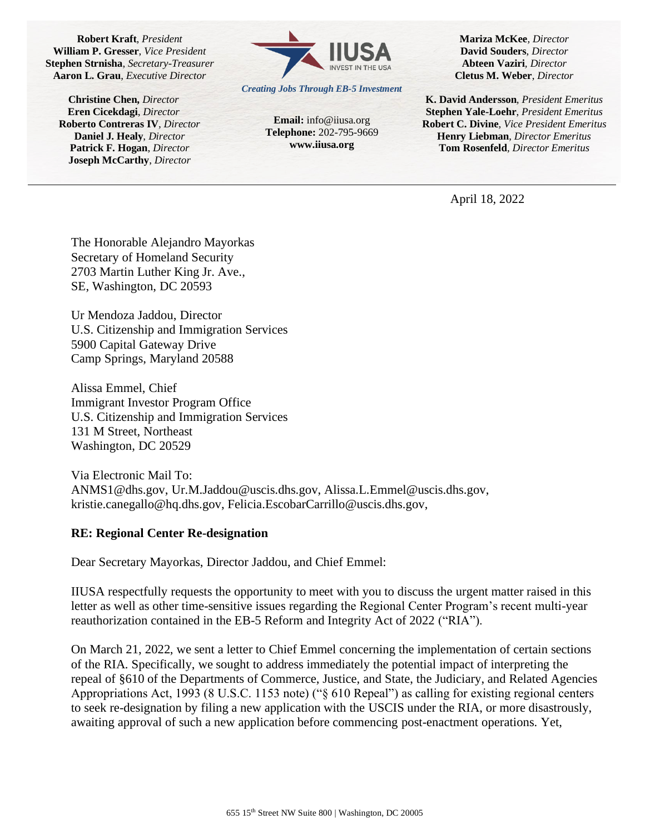**Robert Kraft**, *President* **William P. Gresser**, *Vice President* **Stephen Strnisha**, *Secretary-Treasurer* **Aaron L. Grau**, *Executive Director*

**Christine Chen,** *Director* **Eren Cicekdagi**, *Director* **Roberto Contreras IV***, Director* **Daniel J. Healy**, *Director* **Patrick F. Hogan**, *Director* **Joseph McCarthy**, *Director*



*Creating Jobs Through EB-5 Investment*

**Email:** info@iiusa.org **Telephone:** 202-795-9669 **www.iiusa.org**

**Mariza McKee***, Director* **David Souders**, *Director* **Abteen Vaziri***, Director* **Cletus M. Weber**, *Director*

**K. David Andersson***, President Emeritus* **Stephen Yale-Loehr**, *President Emeritus* **Robert C. Divine***, Vice President Emeritus* **Henry Liebman**, *Director Emeritus* **Tom Rosenfeld***, Director Emeritus* 

April 18, 2022

The Honorable Alejandro Mayorkas Secretary of Homeland Security 2703 Martin Luther King Jr. Ave., SE, Washington, DC 20593

Ur Mendoza Jaddou, Director U.S. Citizenship and Immigration Services 5900 Capital Gateway Drive Camp Springs, Maryland 20588

Alissa Emmel, Chief Immigrant Investor Program Office U.S. Citizenship and Immigration Services 131 M Street, Northeast Washington, DC 20529

Via Electronic Mail To: ANMS1@dhs.gov, Ur.M.Jaddou@uscis.dhs.gov, Alissa.L.Emmel@uscis.dhs.gov, kristie.canegallo@hq.dhs.gov, Felicia.EscobarCarrillo@uscis.dhs.gov,

## **RE: Regional Center Re-designation**

Dear Secretary Mayorkas, Director Jaddou, and Chief Emmel:

IIUSA respectfully requests the opportunity to meet with you to discuss the urgent matter raised in this letter as well as other time-sensitive issues regarding the Regional Center Program's recent multi-year reauthorization contained in the EB-5 Reform and Integrity Act of 2022 ("RIA").

On March 21, 2022, we sent a letter to Chief Emmel concerning the implementation of certain sections of the RIA. Specifically, we sought to address immediately the potential impact of interpreting the repeal of §610 of the Departments of Commerce, Justice, and State, the Judiciary, and Related Agencies Appropriations Act, 1993 (8 U.S.C. 1153 note) ("§ 610 Repeal") as calling for existing regional centers to seek re-designation by filing a new application with the USCIS under the RIA, or more disastrously, awaiting approval of such a new application before commencing post-enactment operations. Yet,